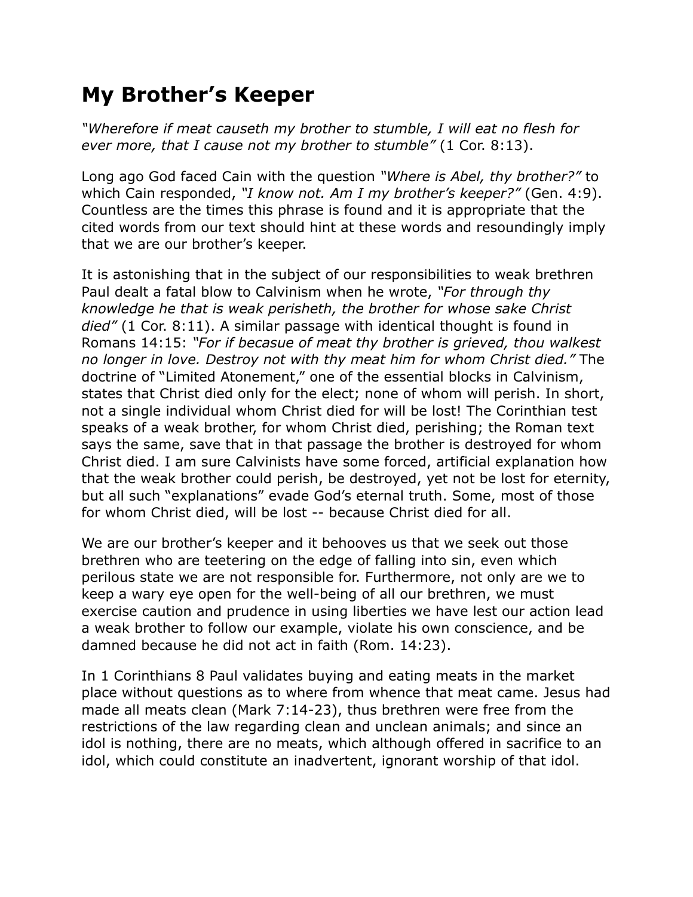## **My Brother's Keeper**

*"Wherefore if meat causeth my brother to stumble, I will eat no flesh for ever more, that I cause not my brother to stumble"* (1 Cor. 8:13).

Long ago God faced Cain with the question *"Where is Abel, thy brother?"* to which Cain responded, *"I know not. Am I my brother's keeper?"* (Gen. 4:9). Countless are the times this phrase is found and it is appropriate that the cited words from our text should hint at these words and resoundingly imply that we are our brother's keeper.

It is astonishing that in the subject of our responsibilities to weak brethren Paul dealt a fatal blow to Calvinism when he wrote, *"For through thy knowledge he that is weak perisheth, the brother for whose sake Christ died"* (1 Cor. 8:11). A similar passage with identical thought is found in Romans 14:15: *"For if becasue of meat thy brother is grieved, thou walkest no longer in love. Destroy not with thy meat him for whom Christ died."* The doctrine of "Limited Atonement," one of the essential blocks in Calvinism, states that Christ died only for the elect; none of whom will perish. In short, not a single individual whom Christ died for will be lost! The Corinthian test speaks of a weak brother, for whom Christ died, perishing; the Roman text says the same, save that in that passage the brother is destroyed for whom Christ died. I am sure Calvinists have some forced, artificial explanation how that the weak brother could perish, be destroyed, yet not be lost for eternity, but all such "explanations" evade God's eternal truth. Some, most of those for whom Christ died, will be lost -- because Christ died for all.

We are our brother's keeper and it behooves us that we seek out those brethren who are teetering on the edge of falling into sin, even which perilous state we are not responsible for. Furthermore, not only are we to keep a wary eye open for the well-being of all our brethren, we must exercise caution and prudence in using liberties we have lest our action lead a weak brother to follow our example, violate his own conscience, and be damned because he did not act in faith (Rom. 14:23).

In 1 Corinthians 8 Paul validates buying and eating meats in the market place without questions as to where from whence that meat came. Jesus had made all meats clean (Mark 7:14-23), thus brethren were free from the restrictions of the law regarding clean and unclean animals; and since an idol is nothing, there are no meats, which although offered in sacrifice to an idol, which could constitute an inadvertent, ignorant worship of that idol.